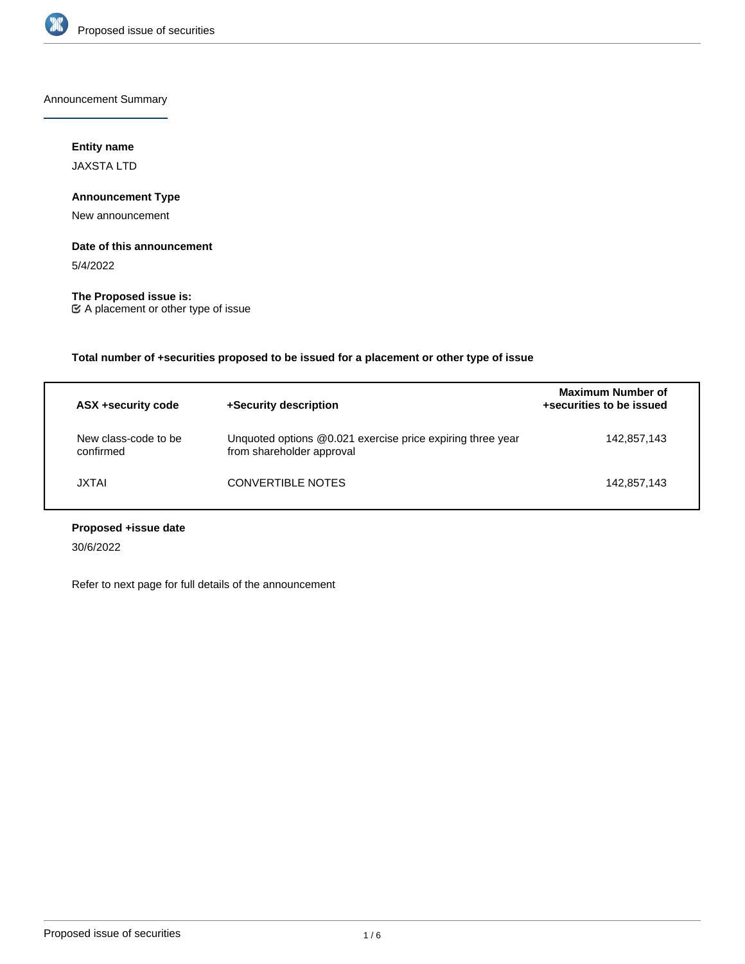

Announcement Summary

# **Entity name**

JAXSTA LTD

## **Announcement Type**

New announcement

# **Date of this announcement**

5/4/2022

# **The Proposed issue is:**

A placement or other type of issue

# **Total number of +securities proposed to be issued for a placement or other type of issue**

| ASX +security code                | +Security description                                                                   | <b>Maximum Number of</b><br>+securities to be issued |
|-----------------------------------|-----------------------------------------------------------------------------------------|------------------------------------------------------|
| New class-code to be<br>confirmed | Unquoted options @0.021 exercise price expiring three year<br>from shareholder approval | 142,857,143                                          |
| JXTAI                             | <b>CONVERTIBLE NOTES</b>                                                                | 142.857.143                                          |

# **Proposed +issue date**

30/6/2022

Refer to next page for full details of the announcement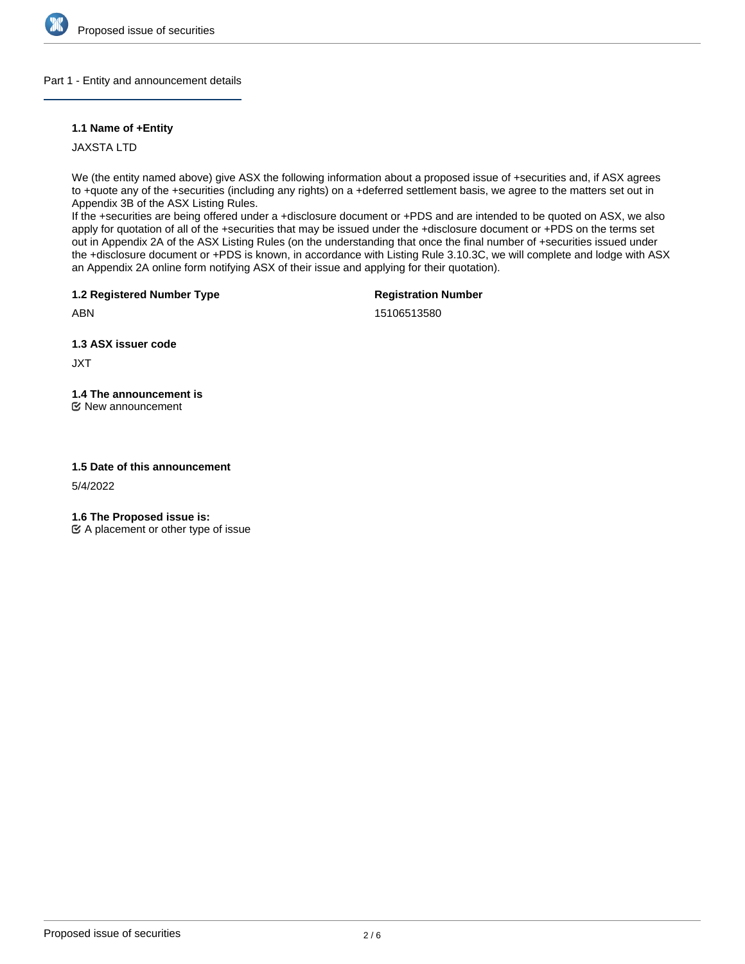

## Part 1 - Entity and announcement details

## **1.1 Name of +Entity**

JAXSTA LTD

We (the entity named above) give ASX the following information about a proposed issue of +securities and, if ASX agrees to +quote any of the +securities (including any rights) on a +deferred settlement basis, we agree to the matters set out in Appendix 3B of the ASX Listing Rules.

If the +securities are being offered under a +disclosure document or +PDS and are intended to be quoted on ASX, we also apply for quotation of all of the +securities that may be issued under the +disclosure document or +PDS on the terms set out in Appendix 2A of the ASX Listing Rules (on the understanding that once the final number of +securities issued under the +disclosure document or +PDS is known, in accordance with Listing Rule 3.10.3C, we will complete and lodge with ASX an Appendix 2A online form notifying ASX of their issue and applying for their quotation).

**1.2 Registered Number Type**

**Registration Number**

15106513580

**1.3 ASX issuer code**

JXT

ABN

**1.4 The announcement is**

New announcement

## **1.5 Date of this announcement**

5/4/2022

**1.6 The Proposed issue is:**

 $\mathfrak{C}$  A placement or other type of issue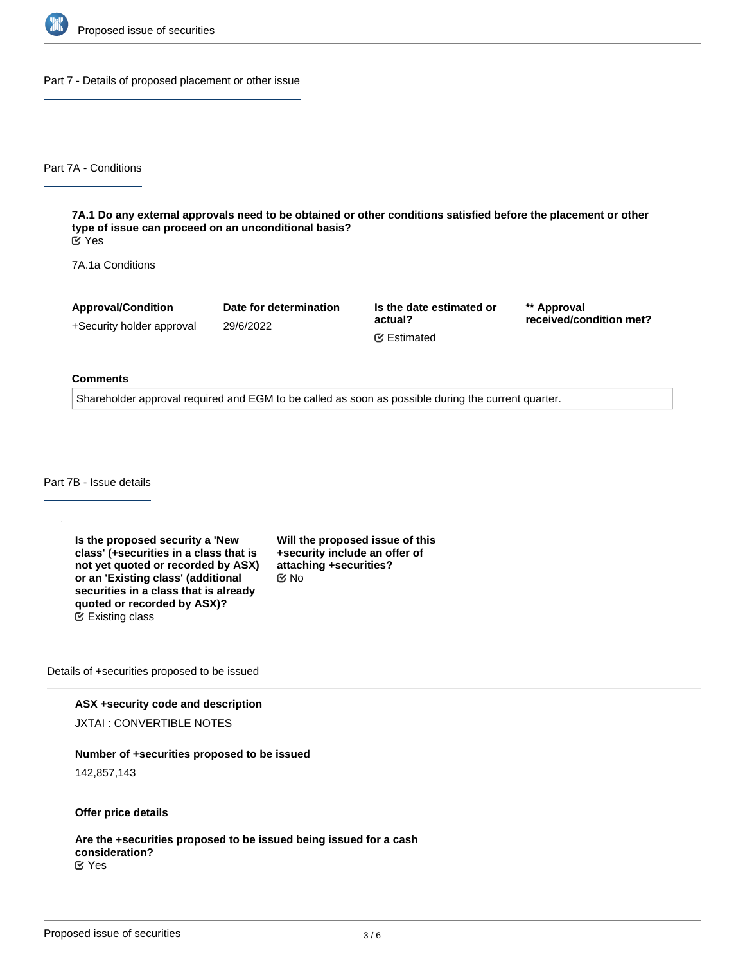

Part 7 - Details of proposed placement or other issue

Part 7A - Conditions

**7A.1 Do any external approvals need to be obtained or other conditions satisfied before the placement or other type of issue can proceed on an unconditional basis?** Yes

7A.1a Conditions

**Approval/Condition** +Security holder approval

29/6/2022

**Date for determination**

**Is the date estimated or actual?** Estimated

**\*\* Approval received/condition met?**

#### **Comments**

Shareholder approval required and EGM to be called as soon as possible during the current quarter.

Part 7B - Issue details

**Is the proposed security a 'New class' (+securities in a class that is not yet quoted or recorded by ASX) or an 'Existing class' (additional securities in a class that is already quoted or recorded by ASX)?** Existing class

**Will the proposed issue of this +security include an offer of attaching +securities?** No

Details of +securities proposed to be issued

**ASX +security code and description** JXTAI : CONVERTIBLE NOTES

**Number of +securities proposed to be issued**

142,857,143

**Offer price details**

**Are the +securities proposed to be issued being issued for a cash consideration?** Yes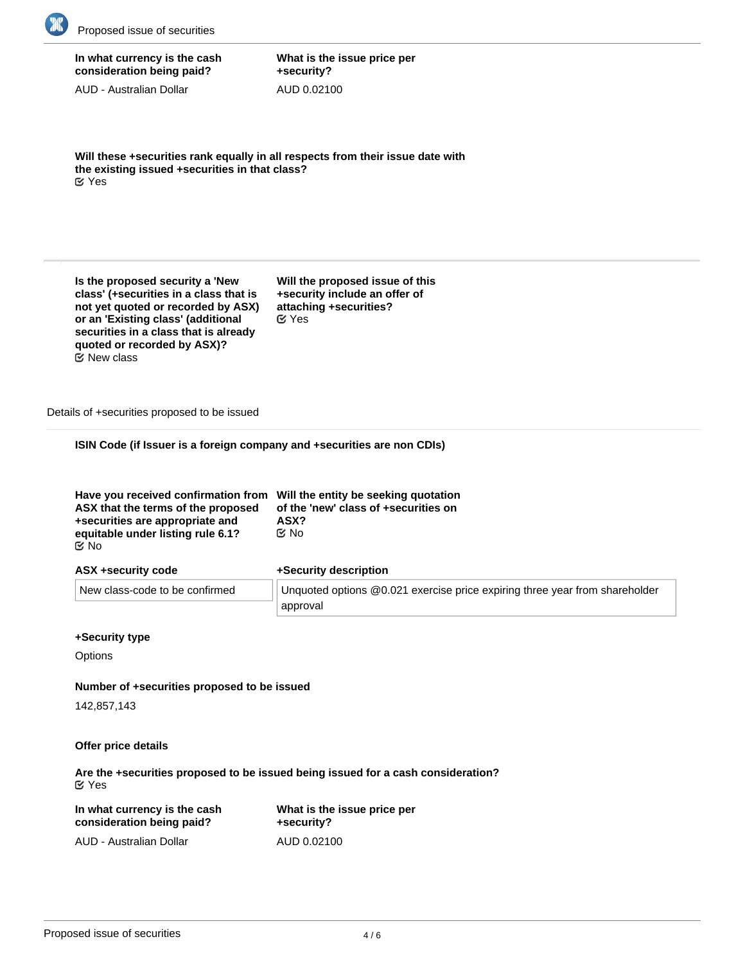

| In what currency is the cash |
|------------------------------|
| consideration being paid?    |

AUD - Australian Dollar

**What is the issue price per +security?** AUD 0.02100

**Will these +securities rank equally in all respects from their issue date with the existing issued +securities in that class?** Yes

**Is the proposed security a 'New class' (+securities in a class that is not yet quoted or recorded by ASX) or an 'Existing class' (additional securities in a class that is already quoted or recorded by ASX)?** New class

**Will the proposed issue of this +security include an offer of attaching +securities?** Yes

Details of +securities proposed to be issued

**ISIN Code (if Issuer is a foreign company and +securities are non CDIs)**

| Have you received confirmation from Will the entity be seeking quotation<br>ASX that the terms of the proposed<br>+securities are appropriate and | of the 'new' class of +securities on<br>ASX? |
|---------------------------------------------------------------------------------------------------------------------------------------------------|----------------------------------------------|
| equitable under listing rule 6.1?                                                                                                                 | Mo No                                        |
| <b>Mo</b>                                                                                                                                         |                                              |

| ASX +security code |  |
|--------------------|--|
|                    |  |

#### **+Security description**

| New class-code to be confirmed | Unquoted options @0.021 exercise price expiring three year from shareholder |
|--------------------------------|-----------------------------------------------------------------------------|
|                                | approval                                                                    |

## **+Security type**

**Options** 

#### **Number of +securities proposed to be issued**

142,857,143

#### **Offer price details**

**Are the +securities proposed to be issued being issued for a cash consideration?** Yes

| In what currency is the cash | What is the issue price per |  |
|------------------------------|-----------------------------|--|
| consideration being paid?    | +security?                  |  |
| AUD - Australian Dollar      | AUD 0.02100                 |  |

**Will all the +securities issued in this class rank equally in all respects from**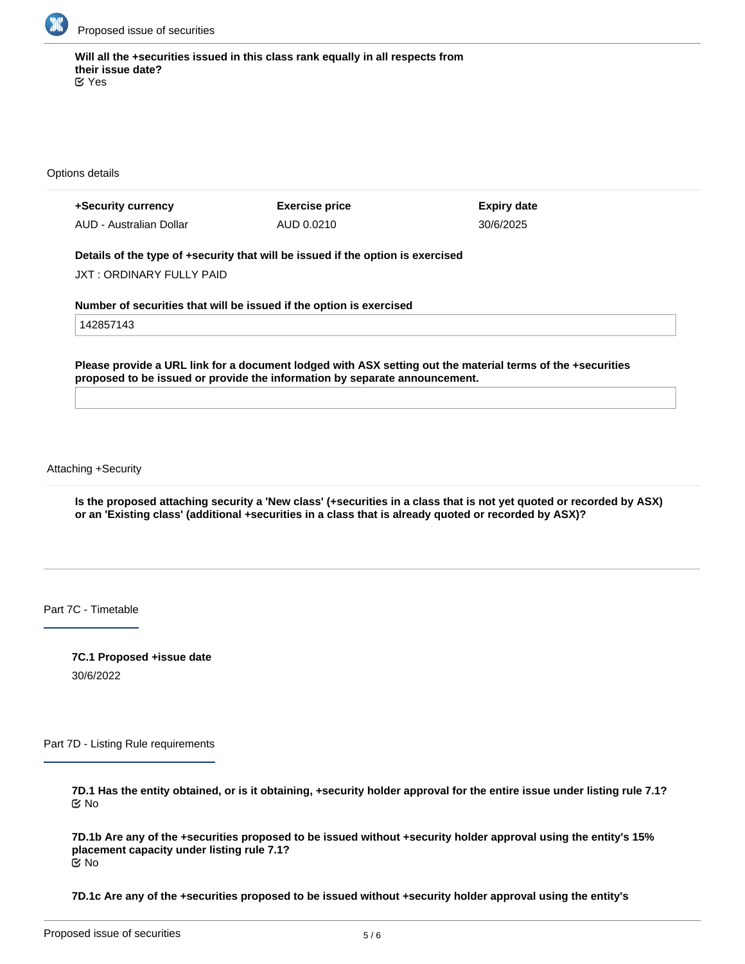

**Will all the +securities issued in this class rank equally in all respects from their issue date?** Yes

Options details

| +Security currency      | <b>Exercise price</b> | <b>Expiry date</b> |
|-------------------------|-----------------------|--------------------|
| AUD - Australian Dollar | AUD 0.0210            | 30/6/2025          |

**Details of the type of +security that will be issued if the option is exercised**

JXT : ORDINARY FULLY PAID

**Number of securities that will be issued if the option is exercised**

142857143

**Please provide a URL link for a document lodged with ASX setting out the material terms of the +securities proposed to be issued or provide the information by separate announcement.**

Attaching +Security

**Is the proposed attaching security a 'New class' (+securities in a class that is not yet quoted or recorded by ASX) or an 'Existing class' (additional +securities in a class that is already quoted or recorded by ASX)?**

Part 7C - Timetable

**7C.1 Proposed +issue date** 30/6/2022

Part 7D - Listing Rule requirements

**7D.1 Has the entity obtained, or is it obtaining, +security holder approval for the entire issue under listing rule 7.1?** No

**7D.1b Are any of the +securities proposed to be issued without +security holder approval using the entity's 15% placement capacity under listing rule 7.1?** No

**7D.1c Are any of the +securities proposed to be issued without +security holder approval using the entity's**

**additional 10% placement capacity under listing rule 7.1A (if applicable)?**